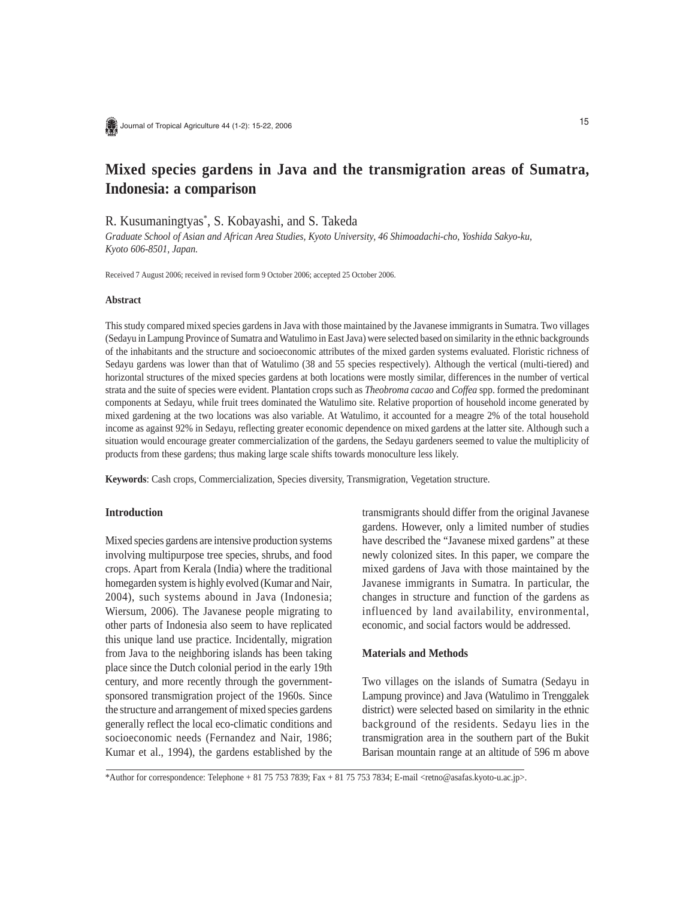

# **Mixed species gardens in Java and the transmigration areas of Sumatra, Indonesia: a comparison**

R. Kusumaningtyas\* , S. Kobayashi, and S. Takeda

*Graduate School of Asian and African Area Studies, Kyoto University, 46 Shimoadachi-cho, Yoshida Sakyo-ku, Kyoto 606-8501, Japan.*

Received 7 August 2006; received in revised form 9 October 2006; accepted 25 October 2006.

## **Abstract**

This study compared mixed species gardens in Java with those maintained by the Javanese immigrants in Sumatra. Two villages (Sedayu in Lampung Province of Sumatra and Watulimo in East Java) were selected based on similarity in the ethnic backgrounds of the inhabitants and the structure and socioeconomic attributes of the mixed garden systems evaluated. Floristic richness of Sedayu gardens was lower than that of Watulimo (38 and 55 species respectively). Although the vertical (multi-tiered) and horizontal structures of the mixed species gardens at both locations were mostly similar, differences in the number of vertical strata and the suite of species were evident. Plantation crops such as *Theobroma cacao* and *Coffea* spp. formed the predominant components at Sedayu, while fruit trees dominated the Watulimo site. Relative proportion of household income generated by mixed gardening at the two locations was also variable. At Watulimo, it accounted for a meagre 2% of the total household income as against 92% in Sedayu, reflecting greater economic dependence on mixed gardens at the latter site. Although such a situation would encourage greater commercialization of the gardens, the Sedayu gardeners seemed to value the multiplicity of products from these gardens; thus making large scale shifts towards monoculture less likely.

**Keywords**: Cash crops, Commercialization, Species diversity, Transmigration, Vegetation structure.

## **Introduction**

Mixed species gardens are intensive production systems involving multipurpose tree species, shrubs, and food crops. Apart from Kerala (India) where the traditional homegarden system is highly evolved (Kumar and Nair, 2004), such systems abound in Java (Indonesia; Wiersum, 2006). The Javanese people migrating to other parts of Indonesia also seem to have replicated this unique land use practice. Incidentally, migration from Java to the neighboring islands has been taking place since the Dutch colonial period in the early 19th century, and more recently through the governmentsponsored transmigration project of the 1960s. Since the structure and arrangement of mixed species gardens generally reflect the local eco-climatic conditions and socioeconomic needs (Fernandez and Nair, 1986; Kumar et al., 1994), the gardens established by the

transmigrants should differ from the original Javanese gardens. However, only a limited number of studies have described the "Javanese mixed gardens" at these newly colonized sites. In this paper, we compare the mixed gardens of Java with those maintained by the Javanese immigrants in Sumatra. In particular, the changes in structure and function of the gardens as influenced by land availability, environmental, economic, and social factors would be addressed.

### **Materials and Methods**

Two villages on the islands of Sumatra (Sedayu in Lampung province) and Java (Watulimo in Trenggalek district) were selected based on similarity in the ethnic background of the residents. Sedayu lies in the transmigration area in the southern part of the Bukit Barisan mountain range at an altitude of 596 m above

\*Author for correspondence: Telephone + 81 75 753 7839; Fax + 81 75 753 7834; E-mail <retno@asafas.kyoto-u.ac.jp>.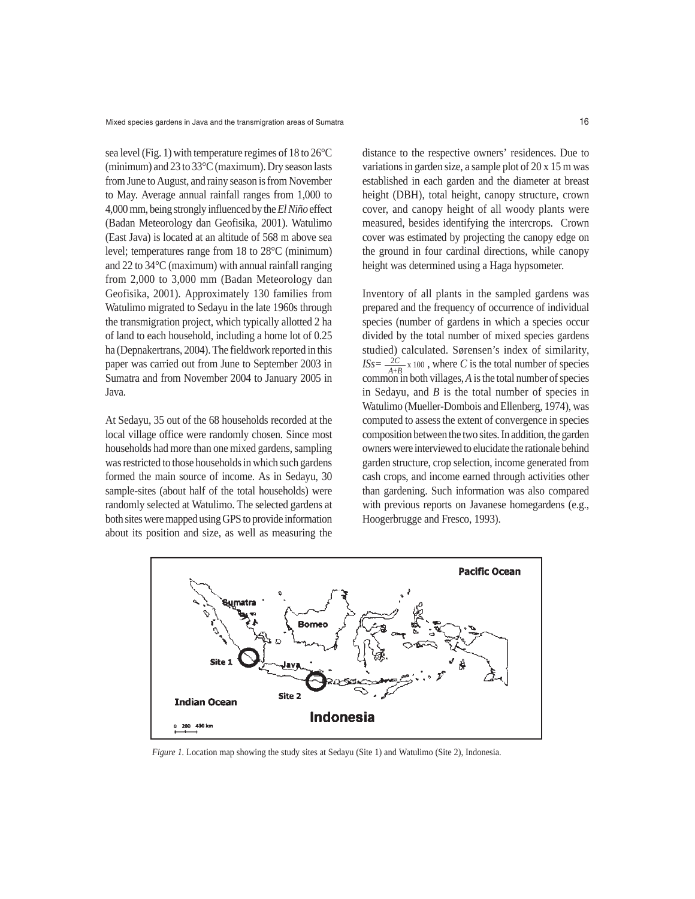sea level (Fig. 1) with temperature regimes of 18 to 26°C (minimum) and 23 to 33°C (maximum). Dry season lasts from June to August, and rainy season is from November to May. Average annual rainfall ranges from 1,000 to 4,000 mm, being strongly influenced by the *El Niño* effect (Badan Meteorology dan Geofisika, 2001). Watulimo (East Java) is located at an altitude of 568 m above sea level; temperatures range from 18 to 28°C (minimum) and 22 to 34°C (maximum) with annual rainfall ranging from 2,000 to 3,000 mm (Badan Meteorology dan Geofisika, 2001). Approximately 130 families from Watulimo migrated to Sedayu in the late 1960s through the transmigration project, which typically allotted 2 ha of land to each household, including a home lot of 0.25 ha (Depnakertrans, 2004). The fieldwork reported in this paper was carried out from June to September 2003 in Sumatra and from November 2004 to January 2005 in Java.

At Sedayu, 35 out of the 68 households recorded at the local village office were randomly chosen. Since most households had more than one mixed gardens, sampling was restricted to those households in which such gardens formed the main source of income. As in Sedayu, 30 sample-sites (about half of the total households) were randomly selected at Watulimo. The selected gardens at both sites were mapped using GPS to provide information about its position and size, as well as measuring the

distance to the respective owners' residences. Due to variations in garden size, a sample plot of 20 x 15 m was established in each garden and the diameter at breast height (DBH), total height, canopy structure, crown cover, and canopy height of all woody plants were measured, besides identifying the intercrops. Crown cover was estimated by projecting the canopy edge on the ground in four cardinal directions, while canopy height was determined using a Haga hypsometer.

Inventory of all plants in the sampled gardens was prepared and the frequency of occurrence of individual species (number of gardens in which a species occur divided by the total number of mixed species gardens studied) calculated. Sørensen's index of similarity,  $ISS = \frac{2C}{A+B} \times 100$ , where *C* is the total number of species common in both villages, *A* is the total number of species in Sedayu, and *B* is the total number of species in Watulimo (Mueller-Dombois and Ellenberg, 1974), was computed to assess the extent of convergence in species composition between the two sites. In addition, the garden owners were interviewed to elucidate the rationale behind garden structure, crop selection, income generated from cash crops, and income earned through activities other than gardening. Such information was also compared with previous reports on Javanese homegardens (e.g., Hoogerbrugge and Fresco, 1993).



*Figure 1.* Location map showing the study sites at Sedayu (Site 1) and Watulimo (Site 2), Indonesia.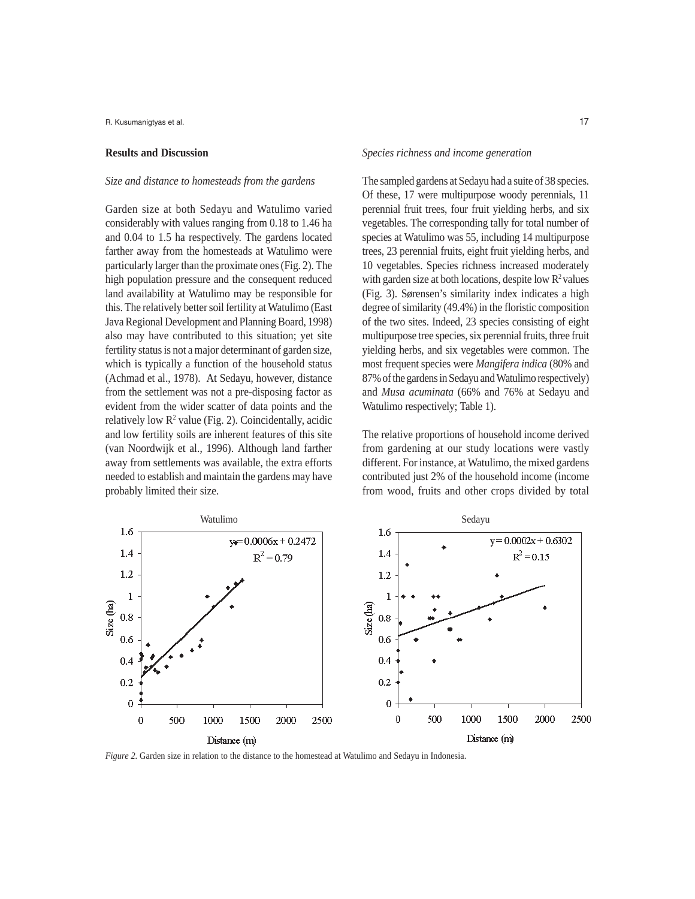R. Kusumanigtyas et al.

#### **Results and Discussion**

## *Size and distance to homesteads from the gardens*

Garden size at both Sedayu and Watulimo varied considerably with values ranging from 0.18 to 1.46 ha and 0.04 to 1.5 ha respectively. The gardens located farther away from the homesteads at Watulimo were particularly larger than the proximate ones (Fig. 2). The high population pressure and the consequent reduced land availability at Watulimo may be responsible for this. The relatively better soil fertility at Watulimo (East Java Regional Development and Planning Board, 1998) also may have contributed to this situation; yet site fertility status is not a major determinant of garden size, which is typically a function of the household status (Achmad et al., 1978). At Sedayu, however, distance from the settlement was not a pre-disposing factor as evident from the wider scatter of data points and the relatively low  $\mathbb{R}^2$  value (Fig. 2). Coincidentally, acidic and low fertility soils are inherent features of this site (van Noordwijk et al., 1996). Although land farther away from settlements was available, the extra efforts needed to establish and maintain the gardens may have probably limited their size.

## *Species richness and income generation*

The sampled gardens at Sedayu had a suite of 38 species. Of these, 17 were multipurpose woody perennials, 11 perennial fruit trees, four fruit yielding herbs, and six vegetables. The corresponding tally for total number of species at Watulimo was 55, including 14 multipurpose trees, 23 perennial fruits, eight fruit yielding herbs, and 10 vegetables. Species richness increased moderately with garden size at both locations, despite low  $\mathbb{R}^2$  values (Fig. 3). Sørensen's similarity index indicates a high degree of similarity (49.4%) in the floristic composition of the two sites. Indeed, 23 species consisting of eight multipurpose tree species, six perennial fruits, three fruit yielding herbs, and six vegetables were common. The most frequent species were *Mangifera indica* (80% and 87% of the gardens in Sedayu and Watulimo respectively) and *Musa acuminata* (66% and 76% at Sedayu and Watulimo respectively; Table 1).

The relative proportions of household income derived from gardening at our study locations were vastly different. For instance, at Watulimo, the mixed gardens contributed just 2% of the household income (income from wood, fruits and other crops divided by total



*Figure 2*. Garden size in relation to the distance to the homestead at Watulimo and Sedayu in Indonesia.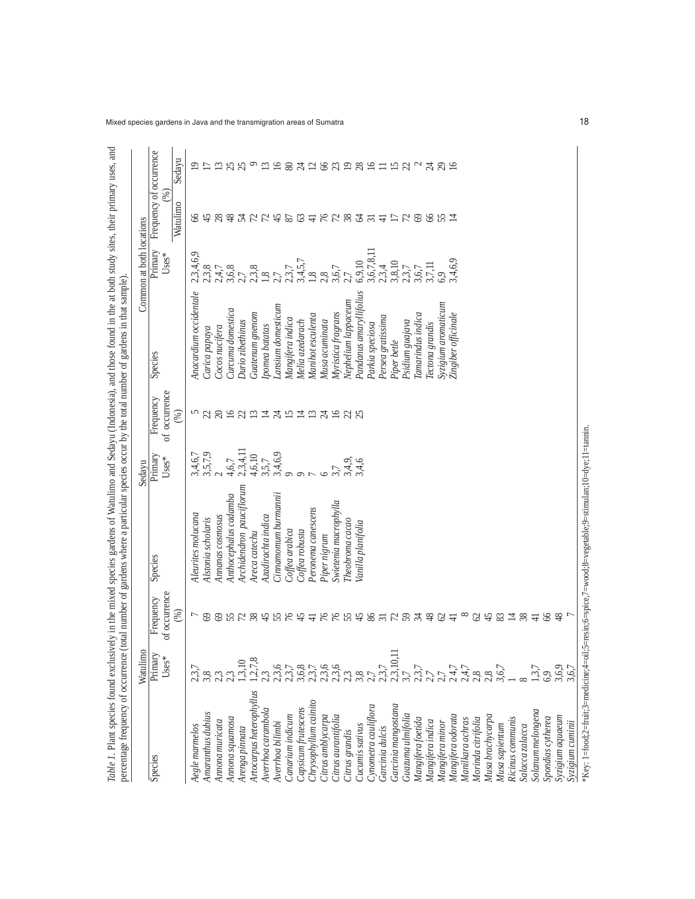| percentage frequency of occurrence    |                    |                            | Table 1. Plant species found exclusively in the mixed species gardens of Watulimo and Sedayu (Indonesia), and those found in the at both study sites, their primary uses, and<br>(total number of gardens where a particular species occur by the total number of gardens in that sample) |                  |                            |                         |                          |                               |                 |
|---------------------------------------|--------------------|----------------------------|-------------------------------------------------------------------------------------------------------------------------------------------------------------------------------------------------------------------------------------------------------------------------------------------|------------------|----------------------------|-------------------------|--------------------------|-------------------------------|-----------------|
|                                       | Watulimo           |                            |                                                                                                                                                                                                                                                                                           | Sedayu           |                            |                         | Common at both locations |                               |                 |
| Species                               | Primary<br>$Uses*$ | of occurrence<br>Frequency | Species                                                                                                                                                                                                                                                                                   | Primary<br>Uses* | of occurrence<br>Frequency | Species                 | Primary<br>Uses*         | Frequency of occurrence<br>ંજ |                 |
|                                       |                    | $(\%)$                     |                                                                                                                                                                                                                                                                                           |                  | $(\%)$                     |                         |                          | Watulimo                      | Sedayu          |
| Aegle marmelos                        | 2,3,7              |                            | Aleurites molucana                                                                                                                                                                                                                                                                        | 3,4,6,7          | n                          | Anacardium occidentale  | 2,3,4,6,9                | 8                             | 2               |
| Amaranthus dubius                     |                    | 69                         | Alstonia scholaris                                                                                                                                                                                                                                                                        | 3,5,7,9          | S                          | Carica papaya           | 2,3,8                    | $\frac{4}{5}$                 |                 |
| Annona muricata                       |                    | 69                         | Annanas cosmosus                                                                                                                                                                                                                                                                          | $\sim$           | $\approx$                  | Cocos nucifera          | 2,4,7                    | $\infty$                      | $\Xi$           |
| Annona squamosa                       |                    |                            | Anthocephalus cadamba                                                                                                                                                                                                                                                                     | 4,6,7            | $\frac{16}{21}$            | Curcuma domestica       | 3,6,8                    | $\frac{8}{3}$                 | 25              |
| Arenga pinnata                        |                    | 528                        | Archidendron pauciflorum                                                                                                                                                                                                                                                                  | 2,3,4,11         |                            | Durio zibethinus        | 2,7                      | $\mathbb{Z}$                  |                 |
| Artocarpus heterophyllus              | 1, 2, 7, 8         |                            | Areca catechu                                                                                                                                                                                                                                                                             | 4,6,10           | $\Xi$                      | Guatenum gnenom         | 2,3,8                    | $\mathcal{L}$                 | $\circ$         |
| Averrhoa carambola                    |                    | $\frac{45}{5}$             | Azadirachta indica                                                                                                                                                                                                                                                                        | 3,5,7            |                            | pomea batatas           | 1,8                      | 74                            | $13 \text{ }$   |
| Averrhoa bilimbi                      | نې.<br>.           | 55                         | Cinnamomum burmannii                                                                                                                                                                                                                                                                      | 3,4,6,9          |                            | Lansium domesticum      |                          |                               |                 |
| Canarium indicum                      |                    | $\frac{1}{6}$              | Coffea arabica                                                                                                                                                                                                                                                                            | $\circ$          | ユムにユロ                      | Mangifera indica        | 2.3.7                    | 87                            | <u>ন্ত প্</u> ৰ |
| Capsicum frutescens                   | 6,8                | $\frac{45}{5}$             | Coffea robusta                                                                                                                                                                                                                                                                            | $\sigma$         |                            | Melia azedarach         | 3,4,5,7                  | 63                            |                 |
| Chrysophyllum cainito                 | $\ddot{3}$         | $\overline{+}$             | Peronema canescens                                                                                                                                                                                                                                                                        |                  |                            | Manihot esculenta       | 1,8                      | $\overline{+}$                | $\overline{c}$  |
| Citrus amblycarpa                     | 3,6                | 76                         | Piper nigrum                                                                                                                                                                                                                                                                              | $\circ$          |                            | Musa acuminata          | 2,8                      |                               |                 |
| Citrus aurantifolia                   |                    | 76                         | Swietenia macrophylla                                                                                                                                                                                                                                                                     | 3,7              |                            | Myristica fragrans      | 3,6,7                    |                               |                 |
| Citrus grandis                        |                    | 55                         | Theobroma cacao                                                                                                                                                                                                                                                                           | 3,4.9,           | <b>はるみや</b>                | Nephelium lappaceum     | 2,7                      | KRSR37                        | 8928            |
| Cucumis sativus                       |                    |                            | Vanilla planifolia                                                                                                                                                                                                                                                                        | 3,4,6            |                            | Pandanus amaryllifolius | 6,9,10                   |                               |                 |
| Cynometra cauliflora                  |                    | 98                         |                                                                                                                                                                                                                                                                                           |                  |                            | Parkia speciosa         | 3,6,7,8,11               |                               | 16              |
| Garcinia dulcis                       |                    | $\overline{31}$            |                                                                                                                                                                                                                                                                                           |                  |                            | Persea gratissima       | 2,3,4                    | $\overline{4}$                | $\equiv$        |
| Garcinia mangostana                   | 2,3,10,1           |                            |                                                                                                                                                                                                                                                                                           |                  |                            | Piper betle             | 3,8,10                   | $\Box$                        | $\frac{15}{21}$ |
| Guazuma ulmifolia                     |                    | 72,34                      |                                                                                                                                                                                                                                                                                           |                  |                            | Psidium guajava         | 2,3,7                    | $\mathcal{L}$                 |                 |
| Mangifera foetida                     |                    |                            |                                                                                                                                                                                                                                                                                           |                  |                            | Iamarindus indica       | 3,6,7                    | $\circledcirc$                | $\sim$          |
| Mangifera indica                      |                    | 48                         |                                                                                                                                                                                                                                                                                           |                  |                            | Tectona grandis         | 3,7,11                   | 8                             |                 |
| Mangifera minor                       |                    | 641                        |                                                                                                                                                                                                                                                                                           |                  |                            | Syzigium aromaticum     | 6,9                      | 55                            | 3.85            |
| Mangifera odorata                     |                    |                            |                                                                                                                                                                                                                                                                                           |                  |                            | Zingiber officinale     | 3,4,6,9                  | $\overline{4}$                |                 |
| Manilkara achras                      |                    | $\infty$                   |                                                                                                                                                                                                                                                                                           |                  |                            |                         |                          |                               |                 |
| Morinda citrifolia                    | 2,8                | 62                         |                                                                                                                                                                                                                                                                                           |                  |                            |                         |                          |                               |                 |
| Musa brachycarpa                      |                    | 45                         |                                                                                                                                                                                                                                                                                           |                  |                            |                         |                          |                               |                 |
| Musa sapientum                        | 3,6,7              | 83                         |                                                                                                                                                                                                                                                                                           |                  |                            |                         |                          |                               |                 |
| Ricinus communis                      |                    | $\overline{14}$            |                                                                                                                                                                                                                                                                                           |                  |                            |                         |                          |                               |                 |
| Salacca zalacca                       |                    | 38                         |                                                                                                                                                                                                                                                                                           |                  |                            |                         |                          |                               |                 |
| Solanum melongena                     |                    | $\frac{1}{4}$              |                                                                                                                                                                                                                                                                                           |                  |                            |                         |                          |                               |                 |
| Spondias cytherea                     | 6,9                | 66                         |                                                                                                                                                                                                                                                                                           |                  |                            |                         |                          |                               |                 |
| Syzigium aquaeum                      | 3,6,9              | 48                         |                                                                                                                                                                                                                                                                                           |                  |                            |                         |                          |                               |                 |
| Syzigium cuminii                      | 3,6,7              |                            |                                                                                                                                                                                                                                                                                           |                  |                            |                         |                          |                               |                 |
| *Key: 1=food;2=fruit;3=medicine;4=oil |                    |                            | :5=resin;6=spice,7=wood;8=vegetable;9=stimulan;10=dye;11=tamin.                                                                                                                                                                                                                           |                  |                            |                         |                          |                               |                 |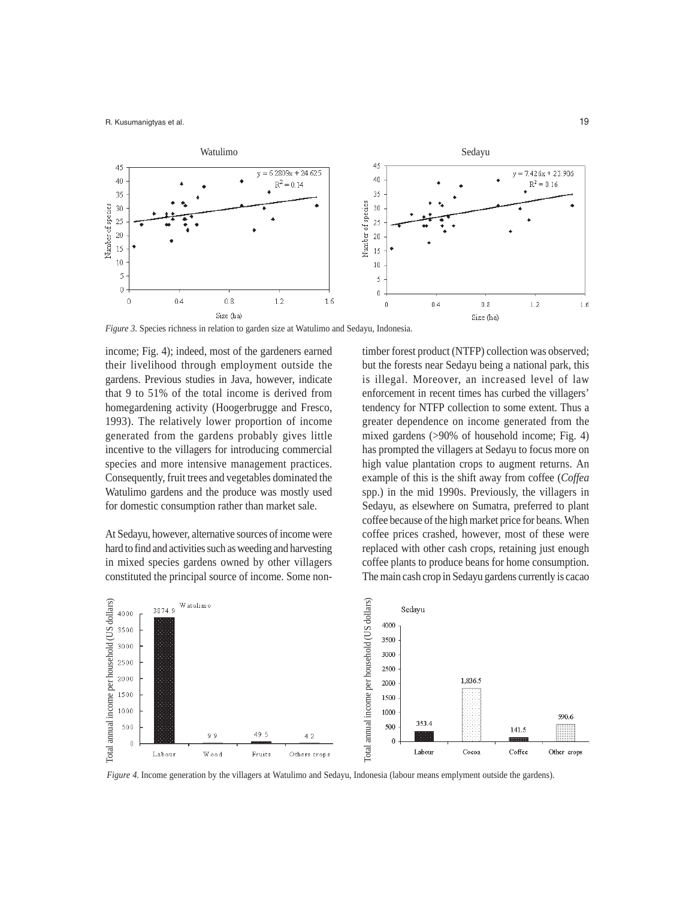

*Figure 3.* Species richness in relation to garden size at Watulimo and Sedayu, Indonesia.

income; Fig. 4); indeed, most of the gardeners earned their livelihood through employment outside the gardens. Previous studies in Java, however, indicate that 9 to 51% of the total income is derived from homegardening activity (Hoogerbrugge and Fresco, 1993). The relatively lower proportion of income generated from the gardens probably gives little incentive to the villagers for introducing commercial species and more intensive management practices. Consequently, fruit trees and vegetables dominated the Watulimo gardens and the produce was mostly used for domestic consumption rather than market sale.

At Sedayu, however, alternative sources of income were hard to find and activities such as weeding and harvesting in mixed species gardens owned by other villagers constituted the principal source of income. Some nontimber forest product (NTFP) collection was observed; but the forests near Sedayu being a national park, this is illegal. Moreover, an increased level of law enforcement in recent times has curbed the villagers' tendency for NTFP collection to some extent. Thus a greater dependence on income generated from the mixed gardens (>90% of household income; Fig. 4) has prompted the villagers at Sedayu to focus more on high value plantation crops to augment returns. An example of this is the shift away from coffee (*Coffea* spp.) in the mid 1990s. Previously, the villagers in Sedayu, as elsewhere on Sumatra, preferred to plant coffee because of the high market price for beans. When coffee prices crashed, however, most of these were replaced with other cash crops, retaining just enough coffee plants to produce beans for home consumption. The main cash crop in Sedayu gardens currently is cacao



*Figure 4.* Income generation by the villagers at Watulimo and Sedayu, Indonesia (labour means emplyment outside the gardens).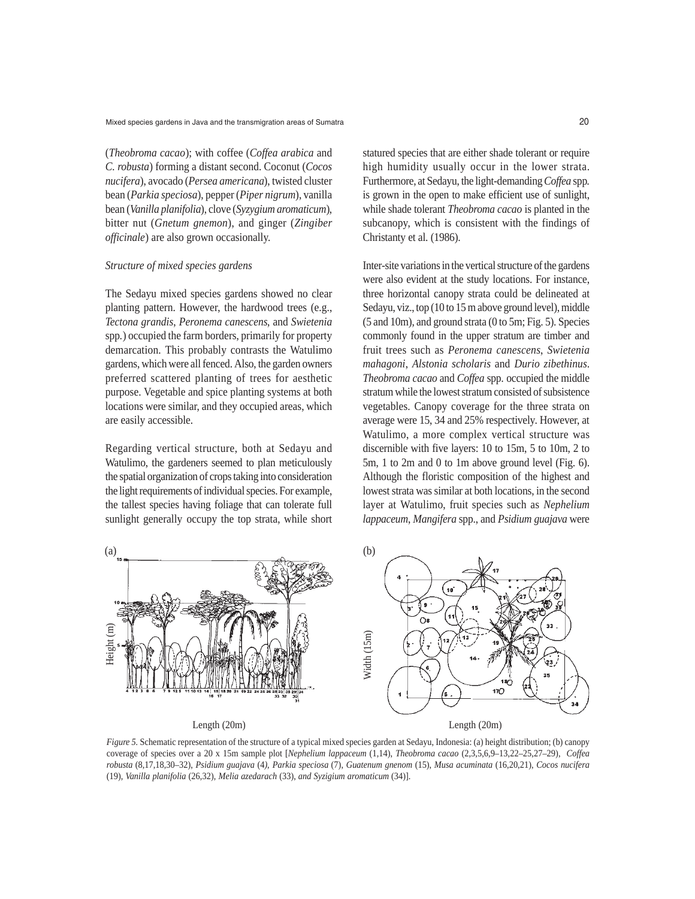(*Theobroma cacao*); with coffee (*Coffea arabica* and *C. robusta*) forming a distant second. Coconut (*Cocos nucifera*), avocado (*Persea americana*), twisted cluster bean (*Parkia speciosa*), pepper (*Piper nigrum*), vanilla bean (*Vanilla planifolia*), clove (*Syzygium aromaticum*), bitter nut (*Gnetum gnemon*), and ginger (*Zingiber officinale*) are also grown occasionally.

## *Structure of mixed species gardens*

The Sedayu mixed species gardens showed no clear planting pattern. However, the hardwood trees (e.g., *Tectona grandis*, *Peronema canescens*, and *Swietenia* spp*.*) occupied the farm borders, primarily for property demarcation. This probably contrasts the Watulimo gardens, which were all fenced. Also, the garden owners preferred scattered planting of trees for aesthetic purpose. Vegetable and spice planting systems at both locations were similar, and they occupied areas, which are easily accessible.

Regarding vertical structure, both at Sedayu and Watulimo, the gardeners seemed to plan meticulously the spatial organization of crops taking into consideration the light requirements of individual species. For example, the tallest species having foliage that can tolerate full sunlight generally occupy the top strata, while short

statured species that are either shade tolerant or require high humidity usually occur in the lower strata. Furthermore, at Sedayu, the light-demanding *Coffea* spp*.* is grown in the open to make efficient use of sunlight, while shade tolerant *Theobroma cacao* is planted in the subcanopy, which is consistent with the findings of Christanty et al. (1986).

Inter-site variations in the vertical structure of the gardens were also evident at the study locations. For instance, three horizontal canopy strata could be delineated at Sedayu, viz., top (10 to 15 m above ground level), middle (5 and 10m), and ground strata (0 to 5m; Fig. 5). Species commonly found in the upper stratum are timber and fruit trees such as *Peronema canescens*, *Swietenia mahagoni*, *Alstonia scholaris* and *Durio zibethinus*. *Theobroma cacao* and *Coffea* spp*.* occupied the middle stratum while the lowest stratum consisted of subsistence vegetables. Canopy coverage for the three strata on average were 15, 34 and 25% respectively. However, at Watulimo, a more complex vertical structure was discernible with five layers: 10 to 15m, 5 to 10m, 2 to 5m, 1 to 2m and 0 to 1m above ground level (Fig. 6). Although the floristic composition of the highest and lowest strata was similar at both locations, in the second layer at Watulimo, fruit species such as *Nephelium lappaceum*, *Mangifera* spp., and *Psidium guajava* were



*Figure 5.* Schematic representation of the structure of a typical mixed species garden at Sedayu, Indonesia: (a) height distribution; (b) canopy coverage of species over a 20 x 15m sample plot [*Nephelium lappaceum* (1,14), *Theobroma cacao* (2,3,5,6,9–13,22–25,27–29), *Coffea robusta* (8,17,18,30–32), *Psidium guajava* (4*)*, *Parkia speciosa* (7), *Guatenum gnenom* (15), *Musa acuminata* (16,20,21), *Cocos nucifera* (19), *Vanilla planifolia* (26,32), *Melia azedarach* (33), *and Syzigium aromaticum* (34)].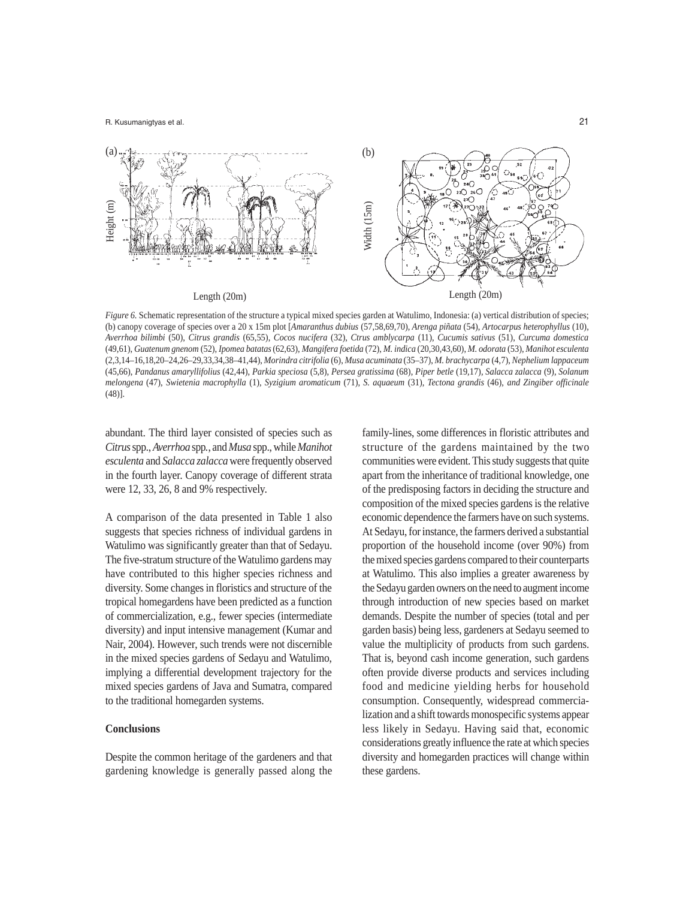

*Figure 6.* Schematic representation of the structure a typical mixed species garden at Watulimo, Indonesia: (a) vertical distribution of species; (b) canopy coverage of species over a 20 x 15m plot [*Amaranthus dubius* (57,58,69,70), *Arenga piñata* (54), *Artocarpus heterophyllus* (10), *Averrhoa bilimbi* (50), *Citrus grandis* (65,55), *Cocos nucifera* (32), *Ctrus amblycarpa* (11), *Cucumis sativus* (51), *Curcuma domestica* (49,61), *Guatenum gnenom* (52), *Ipomea batatas* (62,63), *Mangifera foetida* (72), *M. indica* (20,30,43,60), *M. odorata* (53), *Manihot esculenta* (2,3,14–16,18,20–24,26–29,33,34,38–41,44), *Morindra citrifolia* (6), *Musa acuminata* (35–37), *M. brachycarpa* (4,7), *Nephelium lappaceum* (45,66), *Pandanus amaryllifolius* (42,44), *Parkia speciosa* (5,8), *Persea gratissima* (68), *Piper betle* (19,17)*, Salacca zalacca* (9), *Solanum melongena* (47), *Swietenia macrophylla* (1), *Syzigium aromaticum* (71), *S. aquaeum* (31), *Tectona grandis* (46), *and Zingiber officinale* (48)].

abundant. The third layer consisted of species such as *Citrus*spp*.*, *Averrhoa* spp*.*, and *Musa* spp., while *Manihot esculenta* and *Salacca zalacca* were frequently observed in the fourth layer. Canopy coverage of different strata were 12, 33, 26, 8 and 9% respectively.

A comparison of the data presented in Table 1 also suggests that species richness of individual gardens in Watulimo was significantly greater than that of Sedayu. The five-stratum structure of the Watulimo gardens may have contributed to this higher species richness and diversity. Some changes in floristics and structure of the tropical homegardens have been predicted as a function of commercialization, e.g., fewer species (intermediate diversity) and input intensive management (Kumar and Nair, 2004). However, such trends were not discernible in the mixed species gardens of Sedayu and Watulimo, implying a differential development trajectory for the mixed species gardens of Java and Sumatra, compared to the traditional homegarden systems.

## **Conclusions**

Despite the common heritage of the gardeners and that gardening knowledge is generally passed along the family-lines, some differences in floristic attributes and structure of the gardens maintained by the two communities were evident. This study suggests that quite apart from the inheritance of traditional knowledge, one of the predisposing factors in deciding the structure and composition of the mixed species gardens is the relative economic dependence the farmers have on such systems. At Sedayu, for instance, the farmers derived a substantial proportion of the household income (over 90%) from the mixed species gardens compared to their counterparts at Watulimo. This also implies a greater awareness by the Sedayu garden owners on the need to augment income through introduction of new species based on market demands. Despite the number of species (total and per garden basis) being less, gardeners at Sedayu seemed to value the multiplicity of products from such gardens. That is, beyond cash income generation, such gardens often provide diverse products and services including food and medicine yielding herbs for household consumption. Consequently, widespread commercialization and a shift towards monospecific systems appear less likely in Sedayu. Having said that, economic considerations greatly influence the rate at which species diversity and homegarden practices will change within these gardens.